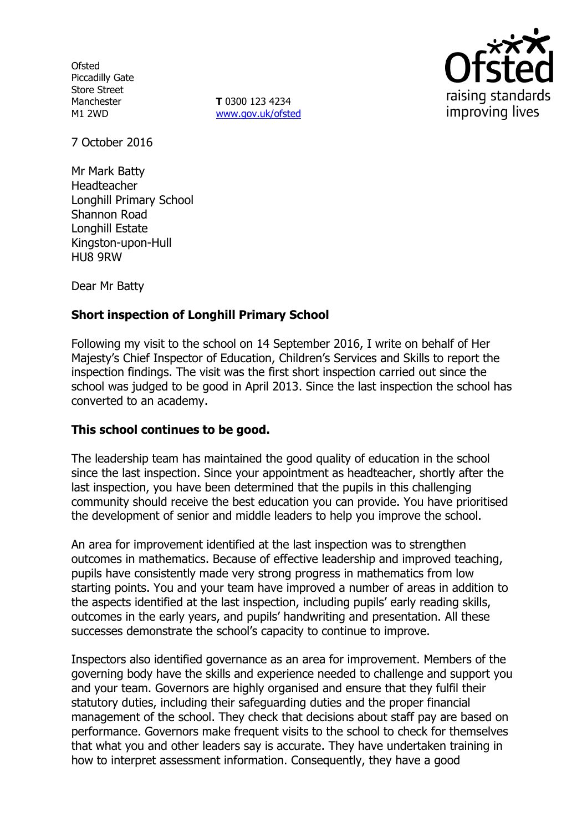**Ofsted** Piccadilly Gate Store Street Manchester M1 2WD

**T** 0300 123 4234 www.gov.uk/ofsted



7 October 2016

Mr Mark Batty Headteacher Longhill Primary School Shannon Road Longhill Estate Kingston-upon-Hull HU8 9RW

Dear Mr Batty

# **Short inspection of Longhill Primary School**

Following my visit to the school on 14 September 2016, I write on behalf of Her Majesty's Chief Inspector of Education, Children's Services and Skills to report the inspection findings. The visit was the first short inspection carried out since the school was judged to be good in April 2013. Since the last inspection the school has converted to an academy.

### **This school continues to be good.**

The leadership team has maintained the good quality of education in the school since the last inspection. Since your appointment as headteacher, shortly after the last inspection, you have been determined that the pupils in this challenging community should receive the best education you can provide. You have prioritised the development of senior and middle leaders to help you improve the school.

An area for improvement identified at the last inspection was to strengthen outcomes in mathematics. Because of effective leadership and improved teaching, pupils have consistently made very strong progress in mathematics from low starting points. You and your team have improved a number of areas in addition to the aspects identified at the last inspection, including pupils' early reading skills, outcomes in the early years, and pupils' handwriting and presentation. All these successes demonstrate the school's capacity to continue to improve.

Inspectors also identified governance as an area for improvement. Members of the governing body have the skills and experience needed to challenge and support you and your team. Governors are highly organised and ensure that they fulfil their statutory duties, including their safeguarding duties and the proper financial management of the school. They check that decisions about staff pay are based on performance. Governors make frequent visits to the school to check for themselves that what you and other leaders say is accurate. They have undertaken training in how to interpret assessment information. Consequently, they have a good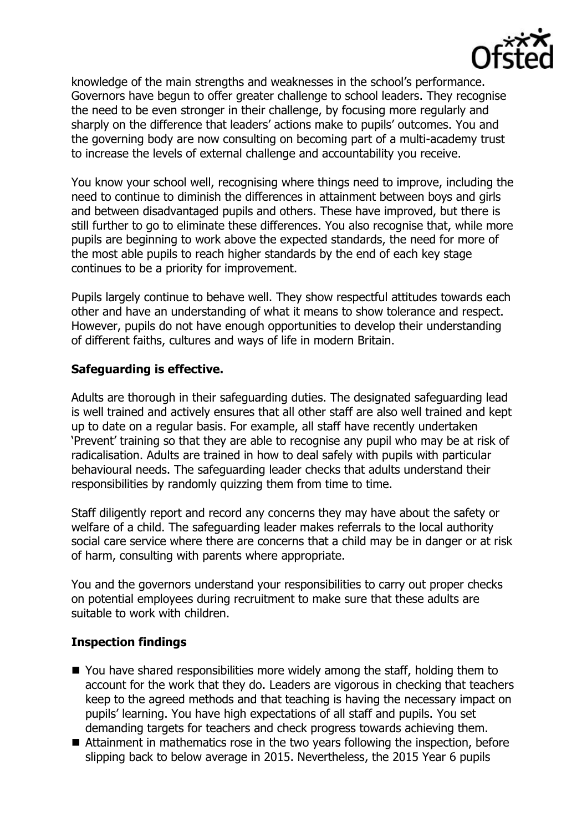

knowledge of the main strengths and weaknesses in the school's performance. Governors have begun to offer greater challenge to school leaders. They recognise the need to be even stronger in their challenge, by focusing more regularly and sharply on the difference that leaders' actions make to pupils' outcomes. You and the governing body are now consulting on becoming part of a multi-academy trust to increase the levels of external challenge and accountability you receive.

You know your school well, recognising where things need to improve, including the need to continue to diminish the differences in attainment between boys and girls and between disadvantaged pupils and others. These have improved, but there is still further to go to eliminate these differences. You also recognise that, while more pupils are beginning to work above the expected standards, the need for more of the most able pupils to reach higher standards by the end of each key stage continues to be a priority for improvement.

Pupils largely continue to behave well. They show respectful attitudes towards each other and have an understanding of what it means to show tolerance and respect. However, pupils do not have enough opportunities to develop their understanding of different faiths, cultures and ways of life in modern Britain.

## **Safeguarding is effective.**

Adults are thorough in their safeguarding duties. The designated safeguarding lead is well trained and actively ensures that all other staff are also well trained and kept up to date on a regular basis. For example, all staff have recently undertaken 'Prevent' training so that they are able to recognise any pupil who may be at risk of radicalisation. Adults are trained in how to deal safely with pupils with particular behavioural needs. The safeguarding leader checks that adults understand their responsibilities by randomly quizzing them from time to time.

Staff diligently report and record any concerns they may have about the safety or welfare of a child. The safeguarding leader makes referrals to the local authority social care service where there are concerns that a child may be in danger or at risk of harm, consulting with parents where appropriate.

You and the governors understand your responsibilities to carry out proper checks on potential employees during recruitment to make sure that these adults are suitable to work with children.

# **Inspection findings**

- You have shared responsibilities more widely among the staff, holding them to account for the work that they do. Leaders are vigorous in checking that teachers keep to the agreed methods and that teaching is having the necessary impact on pupils' learning. You have high expectations of all staff and pupils. You set demanding targets for teachers and check progress towards achieving them.
- Attainment in mathematics rose in the two years following the inspection, before slipping back to below average in 2015. Nevertheless, the 2015 Year 6 pupils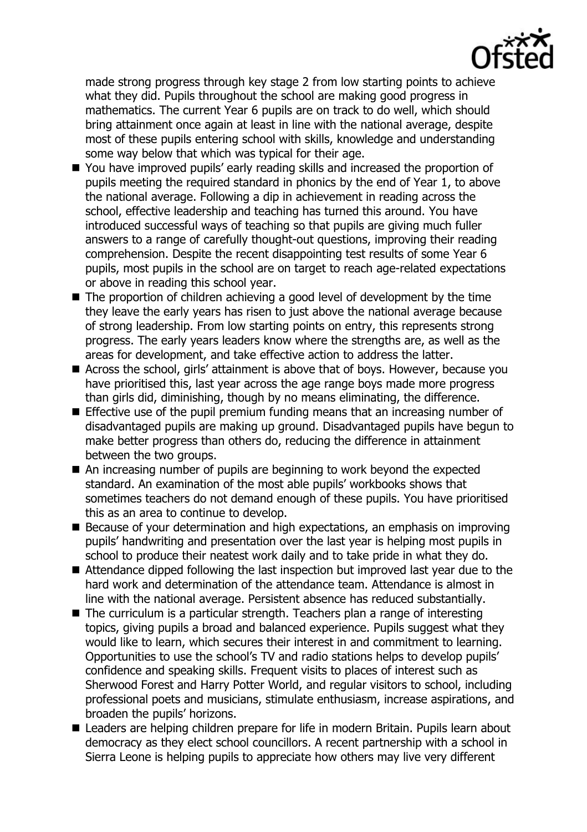made strong progress through key stage 2 from low starting points to achieve what they did. Pupils throughout the school are making good progress in mathematics. The current Year 6 pupils are on track to do well, which should bring attainment once again at least in line with the national average, despite most of these pupils entering school with skills, knowledge and understanding some way below that which was typical for their age.

- You have improved pupils' early reading skills and increased the proportion of pupils meeting the required standard in phonics by the end of Year 1, to above the national average. Following a dip in achievement in reading across the school, effective leadership and teaching has turned this around. You have introduced successful ways of teaching so that pupils are giving much fuller answers to a range of carefully thought-out questions, improving their reading comprehension. Despite the recent disappointing test results of some Year 6 pupils, most pupils in the school are on target to reach age-related expectations or above in reading this school year.
- The proportion of children achieving a good level of development by the time they leave the early years has risen to just above the national average because of strong leadership. From low starting points on entry, this represents strong progress. The early years leaders know where the strengths are, as well as the areas for development, and take effective action to address the latter.
- Across the school, girls' attainment is above that of boys. However, because you have prioritised this, last year across the age range boys made more progress than girls did, diminishing, though by no means eliminating, the difference.
- Effective use of the pupil premium funding means that an increasing number of disadvantaged pupils are making up ground. Disadvantaged pupils have begun to make better progress than others do, reducing the difference in attainment between the two groups.
- An increasing number of pupils are beginning to work beyond the expected standard. An examination of the most able pupils' workbooks shows that sometimes teachers do not demand enough of these pupils. You have prioritised this as an area to continue to develop.
- Because of your determination and high expectations, an emphasis on improving pupils' handwriting and presentation over the last year is helping most pupils in school to produce their neatest work daily and to take pride in what they do.
- Attendance dipped following the last inspection but improved last year due to the hard work and determination of the attendance team. Attendance is almost in line with the national average. Persistent absence has reduced substantially.
- The curriculum is a particular strength. Teachers plan a range of interesting topics, giving pupils a broad and balanced experience. Pupils suggest what they would like to learn, which secures their interest in and commitment to learning. Opportunities to use the school's TV and radio stations helps to develop pupils' confidence and speaking skills. Frequent visits to places of interest such as Sherwood Forest and Harry Potter World, and regular visitors to school, including professional poets and musicians, stimulate enthusiasm, increase aspirations, and broaden the pupils' horizons.
- Leaders are helping children prepare for life in modern Britain. Pupils learn about democracy as they elect school councillors. A recent partnership with a school in Sierra Leone is helping pupils to appreciate how others may live very different